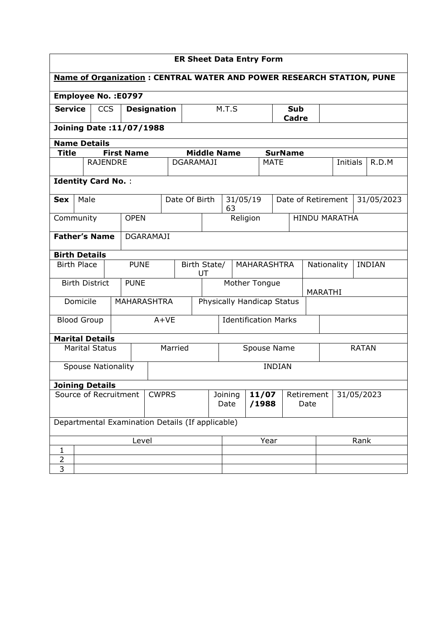| <b>ER Sheet Data Entry Form</b>                                             |                                                    |                 |  |                                |  |               |                                   |                    |                    |          |                     |                              |                |              |                                  |                 |  |       |
|-----------------------------------------------------------------------------|----------------------------------------------------|-----------------|--|--------------------------------|--|---------------|-----------------------------------|--------------------|--------------------|----------|---------------------|------------------------------|----------------|--------------|----------------------------------|-----------------|--|-------|
| <b>Name of Organization: CENTRAL WATER AND POWER RESEARCH STATION, PUNE</b> |                                                    |                 |  |                                |  |               |                                   |                    |                    |          |                     |                              |                |              |                                  |                 |  |       |
|                                                                             |                                                    |                 |  | <b>Employee No.: E0797</b>     |  |               |                                   |                    |                    |          |                     |                              |                |              |                                  |                 |  |       |
|                                                                             | <b>Service</b><br><b>CCS</b><br><b>Designation</b> |                 |  |                                |  |               |                                   | M.T.S              |                    |          | <b>Sub</b><br>Cadre |                              |                |              |                                  |                 |  |       |
|                                                                             |                                                    |                 |  | <b>Joining Date:11/07/1988</b> |  |               |                                   |                    |                    |          |                     |                              |                |              |                                  |                 |  |       |
| <b>Name Details</b>                                                         |                                                    |                 |  |                                |  |               |                                   |                    |                    |          |                     |                              |                |              |                                  |                 |  |       |
| Title                                                                       |                                                    |                 |  | <b>First Name</b>              |  |               |                                   | <b>Middle Name</b> |                    |          |                     |                              | <b>SurName</b> |              |                                  |                 |  |       |
|                                                                             |                                                    | <b>RAJENDRE</b> |  |                                |  |               | <b>DGARAMAJI</b>                  |                    |                    |          |                     | <b>MATE</b>                  |                |              |                                  | <b>Initials</b> |  | R.D.M |
|                                                                             | <b>Identity Card No.:</b>                          |                 |  |                                |  |               |                                   |                    |                    |          |                     |                              |                |              |                                  |                 |  |       |
| <b>Sex</b>                                                                  | Male                                               |                 |  |                                |  |               | Date Of Birth                     |                    | 63                 |          | 31/05/19            |                              |                |              | Date of Retirement<br>31/05/2023 |                 |  |       |
| Community                                                                   |                                                    |                 |  | <b>OPEN</b>                    |  |               |                                   |                    |                    | Religion |                     |                              |                |              | <b>HINDU MARATHA</b>             |                 |  |       |
| <b>Father's Name</b><br><b>DGARAMAJI</b>                                    |                                                    |                 |  |                                |  |               |                                   |                    |                    |          |                     |                              |                |              |                                  |                 |  |       |
| <b>Birth Details</b>                                                        |                                                    |                 |  |                                |  |               |                                   |                    |                    |          |                     |                              |                |              |                                  |                 |  |       |
|                                                                             | <b>Birth Place</b>                                 |                 |  | <b>PUNE</b>                    |  |               | Birth State/<br>MAHARASHTRA<br>UT |                    |                    |          |                     | <b>INDIAN</b><br>Nationality |                |              |                                  |                 |  |       |
|                                                                             | <b>Birth District</b>                              |                 |  | <b>PUNE</b>                    |  |               | Mother Tongue                     |                    |                    |          |                     |                              | MARATHI        |              |                                  |                 |  |       |
|                                                                             | Domicile                                           |                 |  | <b>MAHARASHTRA</b>             |  |               | Physically Handicap Status        |                    |                    |          |                     |                              |                |              |                                  |                 |  |       |
|                                                                             | <b>Blood Group</b>                                 |                 |  |                                |  | $A+VE$        | <b>Identification Marks</b>       |                    |                    |          |                     |                              |                |              |                                  |                 |  |       |
| <b>Marital Details</b>                                                      |                                                    |                 |  |                                |  |               |                                   |                    |                    |          |                     |                              |                |              |                                  |                 |  |       |
|                                                                             | <b>Marital Status</b>                              |                 |  |                                |  | Married       |                                   | Spouse Name        |                    |          |                     |                              |                | <b>RATAN</b> |                                  |                 |  |       |
|                                                                             | <b>Spouse Nationality</b>                          |                 |  |                                |  | <b>INDIAN</b> |                                   |                    |                    |          |                     |                              |                |              |                                  |                 |  |       |
| <b>Joining Details</b>                                                      |                                                    |                 |  |                                |  |               |                                   |                    |                    |          |                     |                              |                |              |                                  |                 |  |       |
| Source of Recruitment<br><b>CWPRS</b>                                       |                                                    |                 |  | Joining<br>Date                |  |               | 11/07<br>/1988                    |                    | Retirement<br>Date |          |                     | 31/05/2023                   |                |              |                                  |                 |  |       |
|                                                                             | Departmental Examination Details (If applicable)   |                 |  |                                |  |               |                                   |                    |                    |          |                     |                              |                |              |                                  |                 |  |       |
| Level                                                                       |                                                    |                 |  |                                |  | Year          |                                   |                    |                    |          | Rank                |                              |                |              |                                  |                 |  |       |
| 1                                                                           |                                                    |                 |  |                                |  |               |                                   |                    |                    |          |                     |                              |                |              |                                  |                 |  |       |
| $\overline{2}$                                                              |                                                    |                 |  |                                |  |               |                                   |                    |                    |          |                     |                              |                |              |                                  |                 |  |       |
| 3                                                                           |                                                    |                 |  |                                |  |               |                                   |                    |                    |          |                     |                              |                |              |                                  |                 |  |       |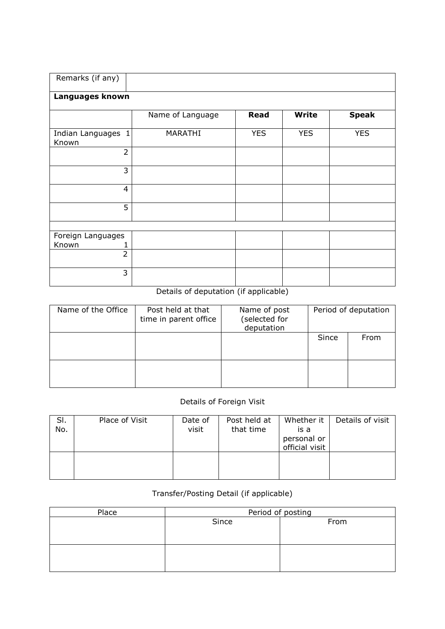| Remarks (if any)            |                  |             |              |              |
|-----------------------------|------------------|-------------|--------------|--------------|
| Languages known             |                  |             |              |              |
|                             | Name of Language | <b>Read</b> | <b>Write</b> | <b>Speak</b> |
| Indian Languages 1<br>Known | MARATHI          | <b>YES</b>  | <b>YES</b>   | <b>YES</b>   |
| $\overline{2}$              |                  |             |              |              |
| 3                           |                  |             |              |              |
| $\overline{4}$              |                  |             |              |              |
| 5                           |                  |             |              |              |
|                             |                  |             |              |              |
| Foreign Languages           |                  |             |              |              |
| Known                       |                  |             |              |              |
| $\overline{2}$              |                  |             |              |              |
| 3                           |                  |             |              |              |

## Details of deputation (if applicable)

| Name of the Office | Post held at that<br>time in parent office | Name of post<br>(selected for<br>deputation | Period of deputation |      |  |  |
|--------------------|--------------------------------------------|---------------------------------------------|----------------------|------|--|--|
|                    |                                            |                                             | Since                | From |  |  |
|                    |                                            |                                             |                      |      |  |  |

## Details of Foreign Visit

| SI.<br>No. | Place of Visit | Date of<br>visit | Post held at<br>that time | Whether it<br>is a<br>personal or<br>official visit | Details of visit |
|------------|----------------|------------------|---------------------------|-----------------------------------------------------|------------------|
|            |                |                  |                           |                                                     |                  |

## Transfer/Posting Detail (if applicable)

| Place | Period of posting |      |  |  |  |  |  |
|-------|-------------------|------|--|--|--|--|--|
|       | Since             | From |  |  |  |  |  |
|       |                   |      |  |  |  |  |  |
|       |                   |      |  |  |  |  |  |
|       |                   |      |  |  |  |  |  |
|       |                   |      |  |  |  |  |  |
|       |                   |      |  |  |  |  |  |